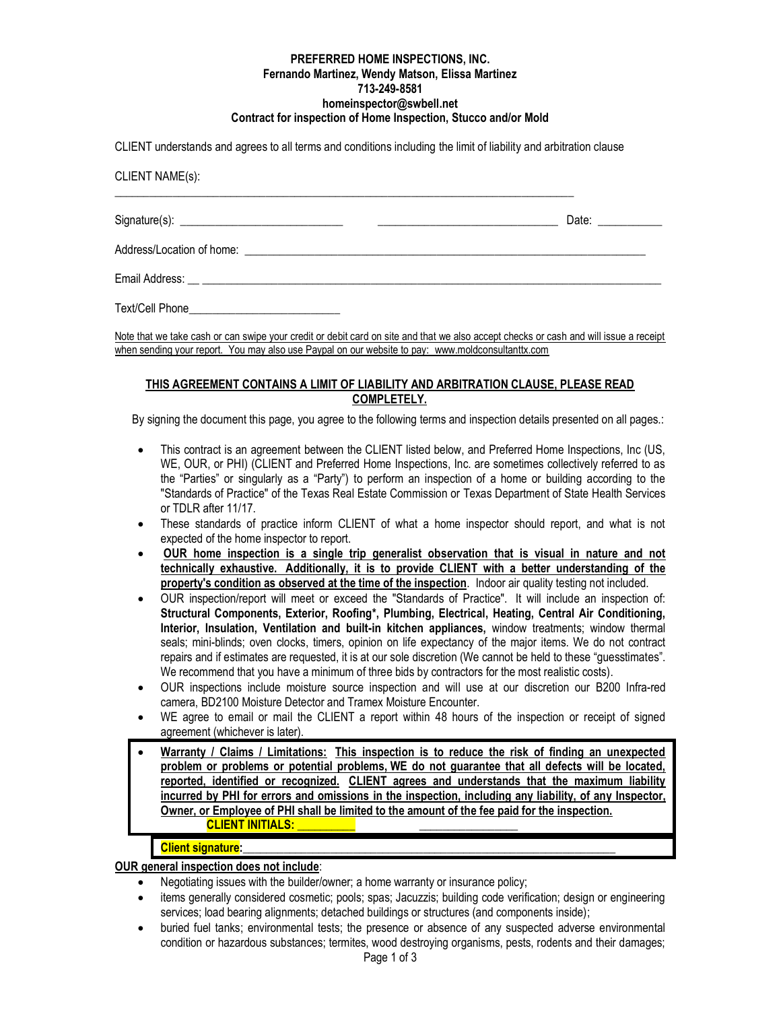#### **PREFERRED HOME INSPECTIONS, INC. Fernando Martinez, Wendy Matson, Elissa Martinez 713-249-8581 homeinspector@swbell.net Contract for inspection of Home Inspection, Stucco and/or Mold**

CLIENT understands and agrees to all terms and conditions including the limit of liability and arbitration clause

CLIENT NAME(s):

|                | Date: |
|----------------|-------|
|                |       |
| Email Address: |       |

Text/Cell Phone\_\_\_\_\_\_\_\_\_\_\_\_\_\_\_\_\_\_\_\_\_\_\_\_\_\_

Note that we take cash or can swipe your credit or debit card on site and that we also accept checks or cash and will issue a receipt when sending your report. You may also use Paypal on our website to pay: www.moldconsultanttx.com

# **THIS AGREEMENT CONTAINS A LIMIT OF LIABILITY AND ARBITRATION CLAUSE, PLEASE READ COMPLETELY.**

By signing the document this page, you agree to the following terms and inspection details presented on all pages.:

- This contract is an agreement between the CLIENT listed below, and Preferred Home Inspections, Inc (US, WE, OUR, or PHI) (CLIENT and Preferred Home Inspections, Inc. are sometimes collectively referred to as the "Parties" or singularly as a "Party") to perform an inspection of a home or building according to the "Standards of Practice" of the Texas Real Estate Commission or Texas Department of State Health Services or TDLR after 11/17.
- These standards of practice inform CLIENT of what a home inspector should report, and what is not expected of the home inspector to report.
- **OUR home inspection is a single trip generalist observation that is visual in nature and not technically exhaustive. Additionally, it is to provide CLIENT with a better understanding of the property's condition as observed at the time of the inspection**. Indoor air quality testing not included.
- OUR inspection/report will meet or exceed the "Standards of Practice". It will include an inspection of: **Structural Components, Exterior, Roofing\*, Plumbing, Electrical, Heating, Central Air Conditioning, Interior, Insulation, Ventilation and built-in kitchen appliances,** window treatments; window thermal seals; mini-blinds; oven clocks, timers, opinion on life expectancy of the major items. We do not contract repairs and if estimates are requested, it is at our sole discretion (We cannot be held to these "guesstimates". We recommend that you have a minimum of three bids by contractors for the most realistic costs).
- OUR inspections include moisture source inspection and will use at our discretion our B200 Infra-red camera, BD2100 Moisture Detector and Tramex Moisture Encounter.
- WE agree to email or mail the CLIENT a report within 48 hours of the inspection or receipt of signed agreement (whichever is later).
- **Warranty / Claims / Limitations: This inspection is to reduce the risk of finding an unexpected problem or problems or potential problems, WE do not guarantee that all defects will be located, reported, identified or recognized. CLIENT agrees and understands that the maximum liability incurred by PHI for errors and omissions in the inspection, including any liability, of any Inspector, Owner, or Employee of PHI shall be limited to the amount of the fee paid for the inspection. CLIENT INITIALS: \_\_\_\_\_\_\_\_\_\_ \_\_\_\_\_\_\_\_\_\_\_\_\_\_\_\_\_**

# **Client signature:**

**OUR general inspection does not include**:

- Negotiating issues with the builder/owner; a home warranty or insurance policy;
- items generally considered cosmetic; pools; spas; Jacuzzis; building code verification; design or engineering services; load bearing alignments; detached buildings or structures (and components inside);
- buried fuel tanks; environmental tests; the presence or absence of any suspected adverse environmental condition or hazardous substances; termites, wood destroying organisms, pests, rodents and their damages;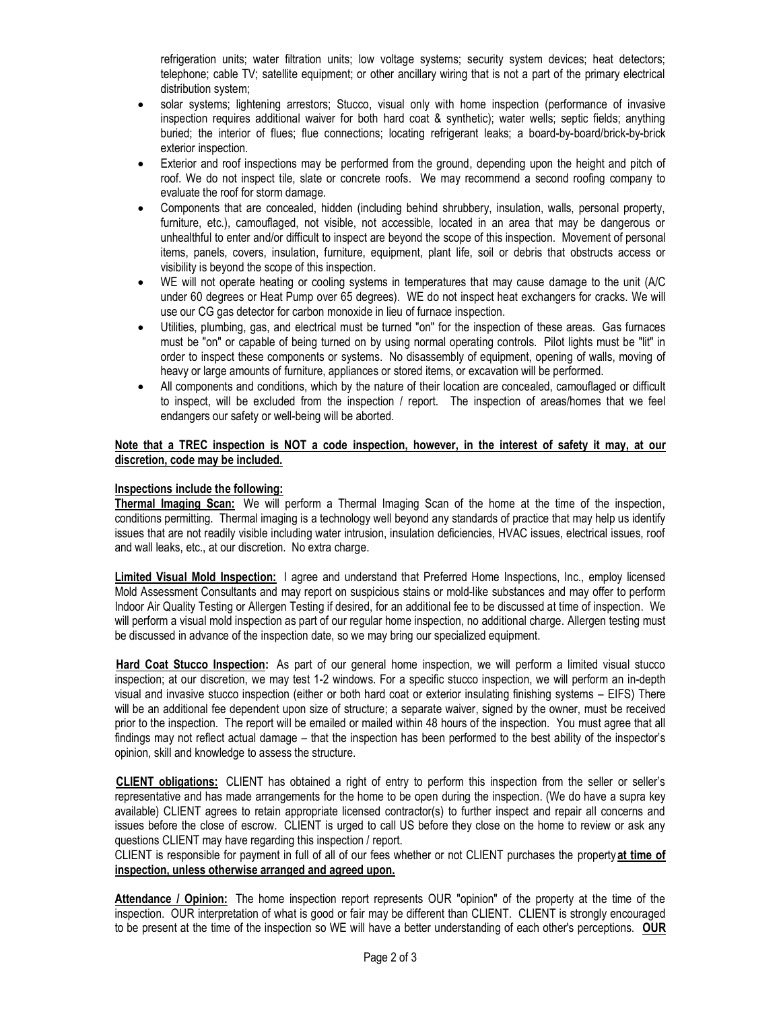refrigeration units; water filtration units; low voltage systems; security system devices; heat detectors; telephone; cable TV; satellite equipment; or other ancillary wiring that is not a part of the primary electrical distribution system;

- solar systems; lightening arrestors; Stucco, visual only with home inspection (performance of invasive inspection requires additional waiver for both hard coat & synthetic); water wells; septic fields; anything buried; the interior of flues; flue connections; locating refrigerant leaks; a board-by-board/brick-by-brick exterior inspection.
- Exterior and roof inspections may be performed from the ground, depending upon the height and pitch of roof. We do not inspect tile, slate or concrete roofs. We may recommend a second roofing company to evaluate the roof for storm damage.
- Components that are concealed, hidden (including behind shrubbery, insulation, walls, personal property, furniture, etc.), camouflaged, not visible, not accessible, located in an area that may be dangerous or unhealthful to enter and/or difficult to inspect are beyond the scope of this inspection. Movement of personal items, panels, covers, insulation, furniture, equipment, plant life, soil or debris that obstructs access or visibility is beyond the scope of this inspection.
- WE will not operate heating or cooling systems in temperatures that may cause damage to the unit (A/C under 60 degrees or Heat Pump over 65 degrees). WE do not inspect heat exchangers for cracks. We will use our CG gas detector for carbon monoxide in lieu of furnace inspection.
- Utilities, plumbing, gas, and electrical must be turned "on" for the inspection of these areas. Gas furnaces must be "on" or capable of being turned on by using normal operating controls. Pilot lights must be "lit" in order to inspect these components or systems. No disassembly of equipment, opening of walls, moving of heavy or large amounts of furniture, appliances or stored items, or excavation will be performed.
- All components and conditions, which by the nature of their location are concealed, camouflaged or difficult to inspect, will be excluded from the inspection / report. The inspection of areas/homes that we feel endangers our safety or well-being will be aborted.

### **Note that a TREC inspection is NOT a code inspection, however, in the interest of safety it may, at our discretion, code may be included.**

# **Inspections include the following:**

**Thermal Imaging Scan:** We will perform a Thermal Imaging Scan of the home at the time of the inspection, conditions permitting. Thermal imaging is a technology well beyond any standards of practice that may help us identify issues that are not readily visible including water intrusion, insulation deficiencies, HVAC issues, electrical issues, roof and wall leaks, etc., at our discretion. No extra charge.

**Limited Visual Mold Inspection:** I agree and understand that Preferred Home Inspections, Inc., employ licensed Mold Assessment Consultants and may report on suspicious stains or mold-like substances and may offer to perform Indoor Air Quality Testing or Allergen Testing if desired, for an additional fee to be discussed at time of inspection. We will perform a visual mold inspection as part of our regular home inspection, no additional charge. Allergen testing must be discussed in advance of the inspection date, so we may bring our specialized equipment.

**Hard Coat Stucco Inspection:** As part of our general home inspection, we will perform a limited visual stucco inspection; at our discretion, we may test 1-2 windows. For a specific stucco inspection, we will perform an in-depth visual and invasive stucco inspection (either or both hard coat or exterior insulating finishing systems – EIFS) There will be an additional fee dependent upon size of structure; a separate waiver, signed by the owner, must be received prior to the inspection. The report will be emailed or mailed within 48 hours of the inspection. You must agree that all findings may not reflect actual damage – that the inspection has been performed to the best ability of the inspector's opinion, skill and knowledge to assess the structure.

**CLIENT obligations:** CLIENT has obtained a right of entry to perform this inspection from the seller or seller's representative and has made arrangements for the home to be open during the inspection. (We do have a supra key available) CLIENT agrees to retain appropriate licensed contractor(s) to further inspect and repair all concerns and issues before the close of escrow. CLIENT is urged to call US before they close on the home to review or ask any questions CLIENT may have regarding this inspection / report.

CLIENT is responsible for payment in full of all of our fees whether or not CLIENT purchases the property **at time of inspection, unless otherwise arranged and agreed upon.**

**Attendance / Opinion:** The home inspection report represents OUR "opinion" of the property at the time of the inspection. OUR interpretation of what is good or fair may be different than CLIENT. CLIENT is strongly encouraged to be present at the time of the inspection so WE will have a better understanding of each other's perceptions. **OUR**